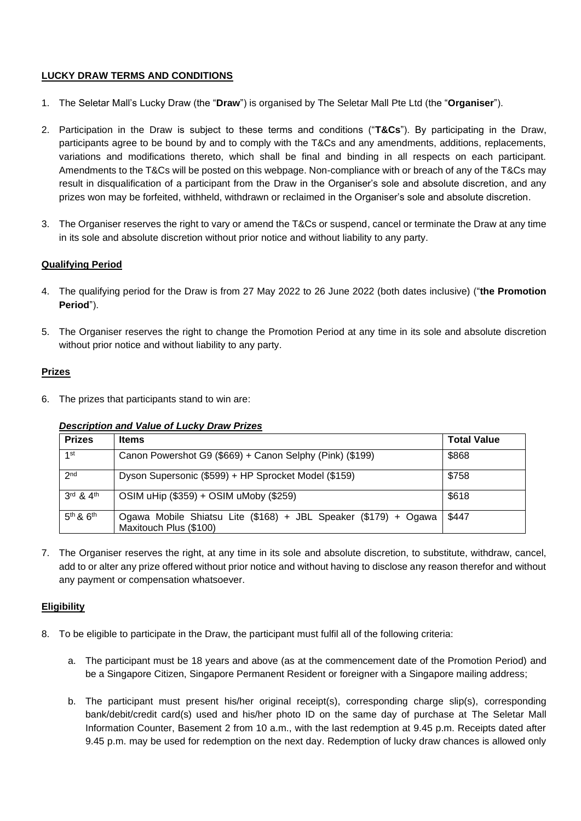## **LUCKY DRAW TERMS AND CONDITIONS**

- 1. The Seletar Mall's Lucky Draw (the "**Draw**") is organised by The Seletar Mall Pte Ltd (the "**Organiser**").
- 2. Participation in the Draw is subject to these terms and conditions ("**T&Cs**"). By participating in the Draw, participants agree to be bound by and to comply with the T&Cs and any amendments, additions, replacements, variations and modifications thereto, which shall be final and binding in all respects on each participant. Amendments to the T&Cs will be posted on this webpage. Non-compliance with or breach of any of the T&Cs may result in disqualification of a participant from the Draw in the Organiser's sole and absolute discretion, and any prizes won may be forfeited, withheld, withdrawn or reclaimed in the Organiser's sole and absolute discretion.
- 3. The Organiser reserves the right to vary or amend the T&Cs or suspend, cancel or terminate the Draw at any time in its sole and absolute discretion without prior notice and without liability to any party.

## **Qualifying Period**

- 4. The qualifying period for the Draw is from 27 May 2022 to 26 June 2022 (both dates inclusive) ("**the Promotion Period**").
- 5. The Organiser reserves the right to change the Promotion Period at any time in its sole and absolute discretion without prior notice and without liability to any party.

## **Prizes**

6. The prizes that participants stand to win are:

### *Description and Value of Lucky Draw Prizes*

| <b>Prizes</b>                     | <b>Items</b>                                                                              | <b>Total Value</b> |
|-----------------------------------|-------------------------------------------------------------------------------------------|--------------------|
| 1st                               | Canon Powershot G9 (\$669) + Canon Selphy (Pink) (\$199)                                  | \$868              |
| 2 <sub>nd</sub>                   | Dyson Supersonic (\$599) + HP Sprocket Model (\$159)                                      | \$758              |
| $3^{\text{rd}}$ & $4^{\text{th}}$ | OSIM uHip (\$359) + OSIM uMoby (\$259)                                                    | \$618              |
| $5th$ & $6th$                     | Ogawa Mobile Shiatsu Lite (\$168) + JBL Speaker (\$179) + Ogawa<br>Maxitouch Plus (\$100) | \$447              |

7. The Organiser reserves the right, at any time in its sole and absolute discretion, to substitute, withdraw, cancel, add to or alter any prize offered without prior notice and without having to disclose any reason therefor and without any payment or compensation whatsoever.

# **Eligibility**

- 8. To be eligible to participate in the Draw, the participant must fulfil all of the following criteria:
	- a. The participant must be 18 years and above (as at the commencement date of the Promotion Period) and be a Singapore Citizen, Singapore Permanent Resident or foreigner with a Singapore mailing address;
	- b. The participant must present his/her original receipt(s), corresponding charge slip(s), corresponding bank/debit/credit card(s) used and his/her photo ID on the same day of purchase at The Seletar Mall Information Counter, Basement 2 from 10 a.m., with the last redemption at 9.45 p.m. Receipts dated after 9.45 p.m. may be used for redemption on the next day. Redemption of lucky draw chances is allowed only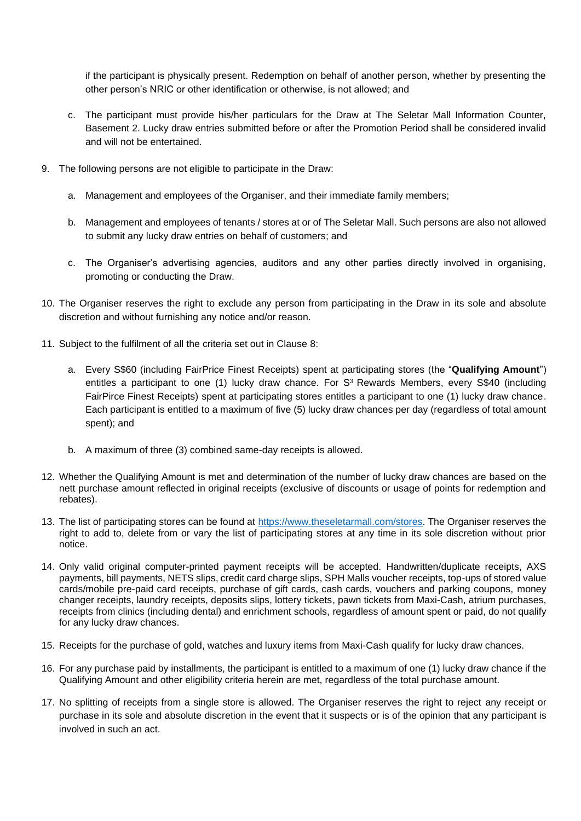if the participant is physically present. Redemption on behalf of another person, whether by presenting the other person's NRIC or other identification or otherwise, is not allowed; and

- c. The participant must provide his/her particulars for the Draw at The Seletar Mall Information Counter, Basement 2. Lucky draw entries submitted before or after the Promotion Period shall be considered invalid and will not be entertained.
- 9. The following persons are not eligible to participate in the Draw:
	- a. Management and employees of the Organiser, and their immediate family members;
	- b. Management and employees of tenants / stores at or of The Seletar Mall. Such persons are also not allowed to submit any lucky draw entries on behalf of customers; and
	- c. The Organiser's advertising agencies, auditors and any other parties directly involved in organising, promoting or conducting the Draw.
- 10. The Organiser reserves the right to exclude any person from participating in the Draw in its sole and absolute discretion and without furnishing any notice and/or reason.
- 11. Subject to the fulfilment of all the criteria set out in Clause 8:
	- a. Every S\$60 (including FairPrice Finest Receipts) spent at participating stores (the "**Qualifying Amount**") entitles a participant to one (1) lucky draw chance. For S<sup>3</sup> Rewards Members, every S\$40 (including FairPirce Finest Receipts) spent at participating stores entitles a participant to one (1) lucky draw chance. Each participant is entitled to a maximum of five (5) lucky draw chances per day (regardless of total amount spent); and
	- b. A maximum of three (3) combined same-day receipts is allowed.
- 12. Whether the Qualifying Amount is met and determination of the number of lucky draw chances are based on the nett purchase amount reflected in original receipts (exclusive of discounts or usage of points for redemption and rebates).
- 13. The list of participating stores can be found at [https://www.theseletarmall.com/stores.](https://www.theseletarmall.com/stores) The Organiser reserves the right to add to, delete from or vary the list of participating stores at any time in its sole discretion without prior notice.
- 14. Only valid original computer-printed payment receipts will be accepted. Handwritten/duplicate receipts, AXS payments, bill payments, NETS slips, credit card charge slips, SPH Malls voucher receipts, top-ups of stored value cards/mobile pre-paid card receipts, purchase of gift cards, cash cards, vouchers and parking coupons, money changer receipts, laundry receipts, deposits slips, lottery tickets, pawn tickets from Maxi-Cash, atrium purchases, receipts from clinics (including dental) and enrichment schools, regardless of amount spent or paid, do not qualify for any lucky draw chances.
- 15. Receipts for the purchase of gold, watches and luxury items from Maxi-Cash qualify for lucky draw chances.
- 16. For any purchase paid by installments, the participant is entitled to a maximum of one (1) lucky draw chance if the Qualifying Amount and other eligibility criteria herein are met, regardless of the total purchase amount.
- 17. No splitting of receipts from a single store is allowed. The Organiser reserves the right to reject any receipt or purchase in its sole and absolute discretion in the event that it suspects or is of the opinion that any participant is involved in such an act.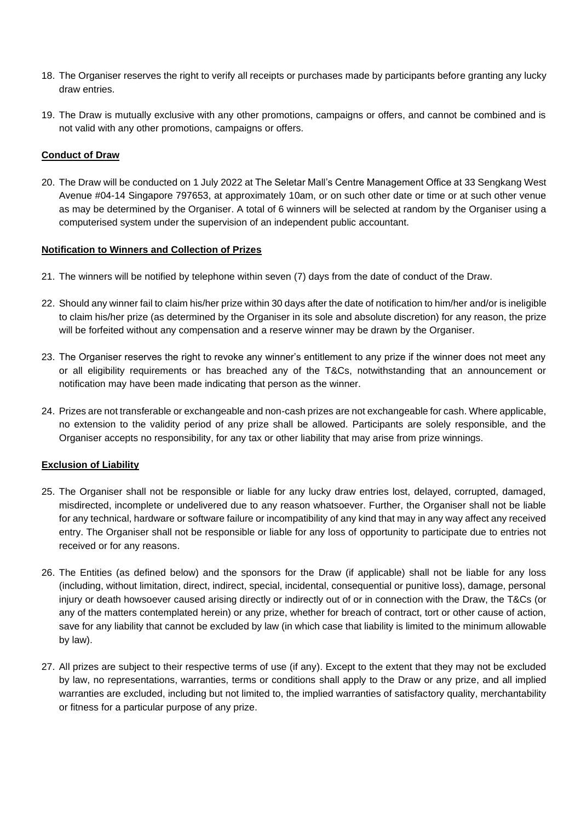- 18. The Organiser reserves the right to verify all receipts or purchases made by participants before granting any lucky draw entries.
- 19. The Draw is mutually exclusive with any other promotions, campaigns or offers, and cannot be combined and is not valid with any other promotions, campaigns or offers.

### **Conduct of Draw**

20. The Draw will be conducted on 1 July 2022 at The Seletar Mall's Centre Management Office at 33 Sengkang West Avenue #04-14 Singapore 797653, at approximately 10am, or on such other date or time or at such other venue as may be determined by the Organiser. A total of 6 winners will be selected at random by the Organiser using a computerised system under the supervision of an independent public accountant.

#### **Notification to Winners and Collection of Prizes**

- 21. The winners will be notified by telephone within seven (7) days from the date of conduct of the Draw.
- 22. Should any winner fail to claim his/her prize within 30 days after the date of notification to him/her and/or is ineligible to claim his/her prize (as determined by the Organiser in its sole and absolute discretion) for any reason, the prize will be forfeited without any compensation and a reserve winner may be drawn by the Organiser.
- 23. The Organiser reserves the right to revoke any winner's entitlement to any prize if the winner does not meet any or all eligibility requirements or has breached any of the T&Cs, notwithstanding that an announcement or notification may have been made indicating that person as the winner.
- 24. Prizes are not transferable or exchangeable and non-cash prizes are not exchangeable for cash. Where applicable, no extension to the validity period of any prize shall be allowed. Participants are solely responsible, and the Organiser accepts no responsibility, for any tax or other liability that may arise from prize winnings.

### **Exclusion of Liability**

- 25. The Organiser shall not be responsible or liable for any lucky draw entries lost, delayed, corrupted, damaged, misdirected, incomplete or undelivered due to any reason whatsoever. Further, the Organiser shall not be liable for any technical, hardware or software failure or incompatibility of any kind that may in any way affect any received entry. The Organiser shall not be responsible or liable for any loss of opportunity to participate due to entries not received or for any reasons.
- 26. The Entities (as defined below) and the sponsors for the Draw (if applicable) shall not be liable for any loss (including, without limitation, direct, indirect, special, incidental, consequential or punitive loss), damage, personal injury or death howsoever caused arising directly or indirectly out of or in connection with the Draw, the T&Cs (or any of the matters contemplated herein) or any prize, whether for breach of contract, tort or other cause of action, save for any liability that cannot be excluded by law (in which case that liability is limited to the minimum allowable by law).
- 27. All prizes are subject to their respective terms of use (if any). Except to the extent that they may not be excluded by law, no representations, warranties, terms or conditions shall apply to the Draw or any prize, and all implied warranties are excluded, including but not limited to, the implied warranties of satisfactory quality, merchantability or fitness for a particular purpose of any prize.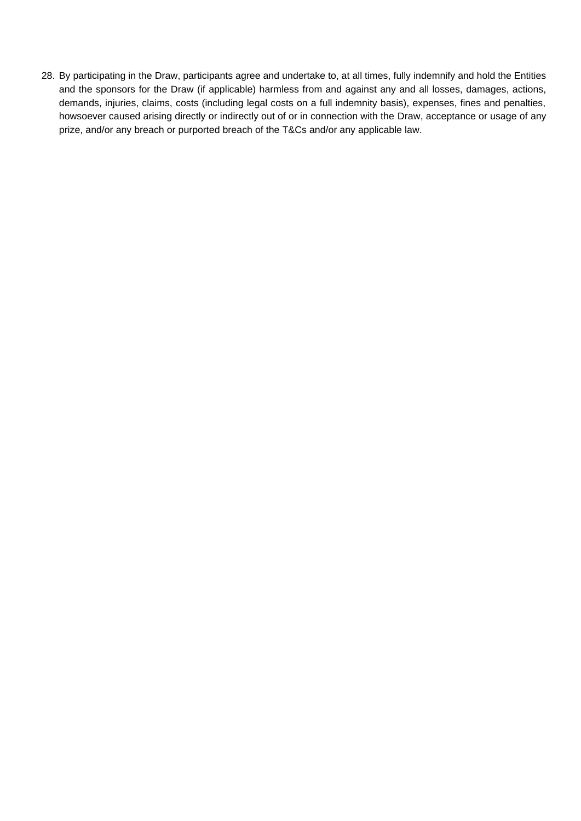28. By participating in the Draw, participants agree and undertake to, at all times, fully indemnify and hold the Entities and the sponsors for the Draw (if applicable) harmless from and against any and all losses, damages, actions, demands, injuries, claims, costs (including legal costs on a full indemnity basis), expenses, fines and penalties, howsoever caused arising directly or indirectly out of or in connection with the Draw, acceptance or usage of any prize, and/or any breach or purported breach of the T&Cs and/or any applicable law.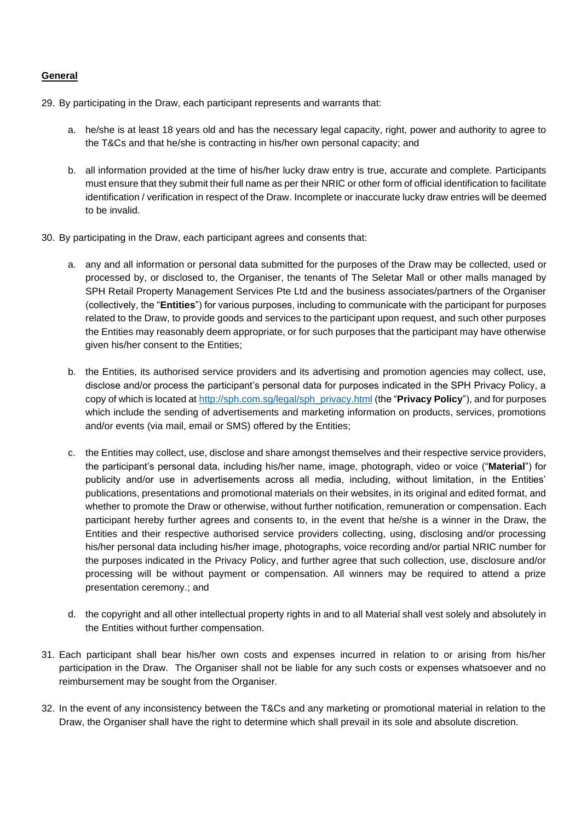### **General**

29. By participating in the Draw, each participant represents and warrants that:

- a. he/she is at least 18 years old and has the necessary legal capacity, right, power and authority to agree to the T&Cs and that he/she is contracting in his/her own personal capacity; and
- b. all information provided at the time of his/her lucky draw entry is true, accurate and complete. Participants must ensure that they submit their full name as per their NRIC or other form of official identification to facilitate identification / verification in respect of the Draw. Incomplete or inaccurate lucky draw entries will be deemed to be invalid.
- 30. By participating in the Draw, each participant agrees and consents that:
	- a. any and all information or personal data submitted for the purposes of the Draw may be collected, used or processed by, or disclosed to, the Organiser, the tenants of The Seletar Mall or other malls managed by SPH Retail Property Management Services Pte Ltd and the business associates/partners of the Organiser (collectively, the "**Entities**") for various purposes, including to communicate with the participant for purposes related to the Draw, to provide goods and services to the participant upon request, and such other purposes the Entities may reasonably deem appropriate, or for such purposes that the participant may have otherwise given his/her consent to the Entities;
	- b. the Entities, its authorised service providers and its advertising and promotion agencies may collect, use, disclose and/or process the participant's personal data for purposes indicated in the SPH Privacy Policy, a copy of which is located at [http://sph.com.sg/legal/sph\\_privacy.html](http://sph.com.sg/legal/sph_privacy.html) (the "**Privacy Policy**"), and for purposes which include the sending of advertisements and marketing information on products, services, promotions and/or events (via mail, email or SMS) offered by the Entities;
	- c. the Entities may collect, use, disclose and share amongst themselves and their respective service providers, the participant's personal data, including his/her name, image, photograph, video or voice ("**Material**") for publicity and/or use in advertisements across all media, including, without limitation, in the Entities' publications, presentations and promotional materials on their websites, in its original and edited format, and whether to promote the Draw or otherwise, without further notification, remuneration or compensation. Each participant hereby further agrees and consents to, in the event that he/she is a winner in the Draw, the Entities and their respective authorised service providers collecting, using, disclosing and/or processing his/her personal data including his/her image, photographs, voice recording and/or partial NRIC number for the purposes indicated in the Privacy Policy, and further agree that such collection, use, disclosure and/or processing will be without payment or compensation. All winners may be required to attend a prize presentation ceremony.; and
	- d. the copyright and all other intellectual property rights in and to all Material shall vest solely and absolutely in the Entities without further compensation.
- 31. Each participant shall bear his/her own costs and expenses incurred in relation to or arising from his/her participation in the Draw. The Organiser shall not be liable for any such costs or expenses whatsoever and no reimbursement may be sought from the Organiser.
- 32. In the event of any inconsistency between the T&Cs and any marketing or promotional material in relation to the Draw, the Organiser shall have the right to determine which shall prevail in its sole and absolute discretion.